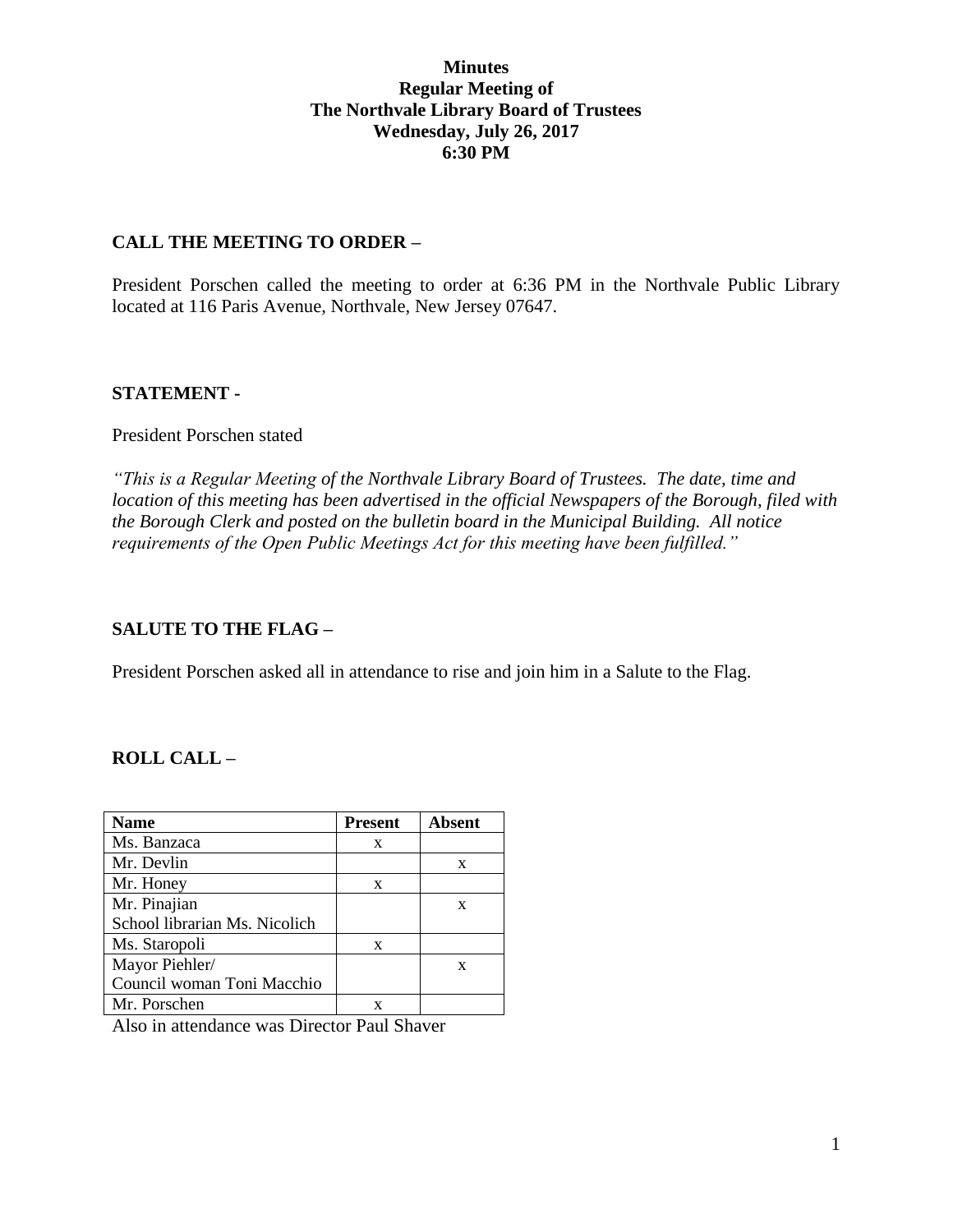### **Minutes Regular Meeting of The Northvale Library Board of Trustees Wednesday, July 26, 2017 6:30 PM**

#### **CALL THE MEETING TO ORDER –**

President Porschen called the meeting to order at 6:36 PM in the Northvale Public Library located at 116 Paris Avenue, Northvale, New Jersey 07647.

### **STATEMENT -**

President Porschen stated

*"This is a Regular Meeting of the Northvale Library Board of Trustees. The date, time and location of this meeting has been advertised in the official Newspapers of the Borough, filed with the Borough Clerk and posted on the bulletin board in the Municipal Building. All notice requirements of the Open Public Meetings Act for this meeting have been fulfilled."* 

## **SALUTE TO THE FLAG –**

President Porschen asked all in attendance to rise and join him in a Salute to the Flag.

# **ROLL CALL –**

| <b>Name</b>                             | <b>Present</b> | <b>Absent</b> |
|-----------------------------------------|----------------|---------------|
| Ms. Banzaca                             | X              |               |
| Mr. Devlin                              |                | X             |
| Mr. Honey                               | X              |               |
| Mr. Pinajian                            |                | X             |
| School librarian Ms. Nicolich           |                |               |
| Ms. Staropoli                           | X              |               |
| Mayor Piehler/                          |                | X             |
| Council woman Toni Macchio              |                |               |
| Mr. Porschen                            | x              |               |
| $\lambda$ 1 $\lambda$ 1 $\lambda$<br>r. | $\sim$ 1<br>T. |               |

Also in attendance was Director Paul Shaver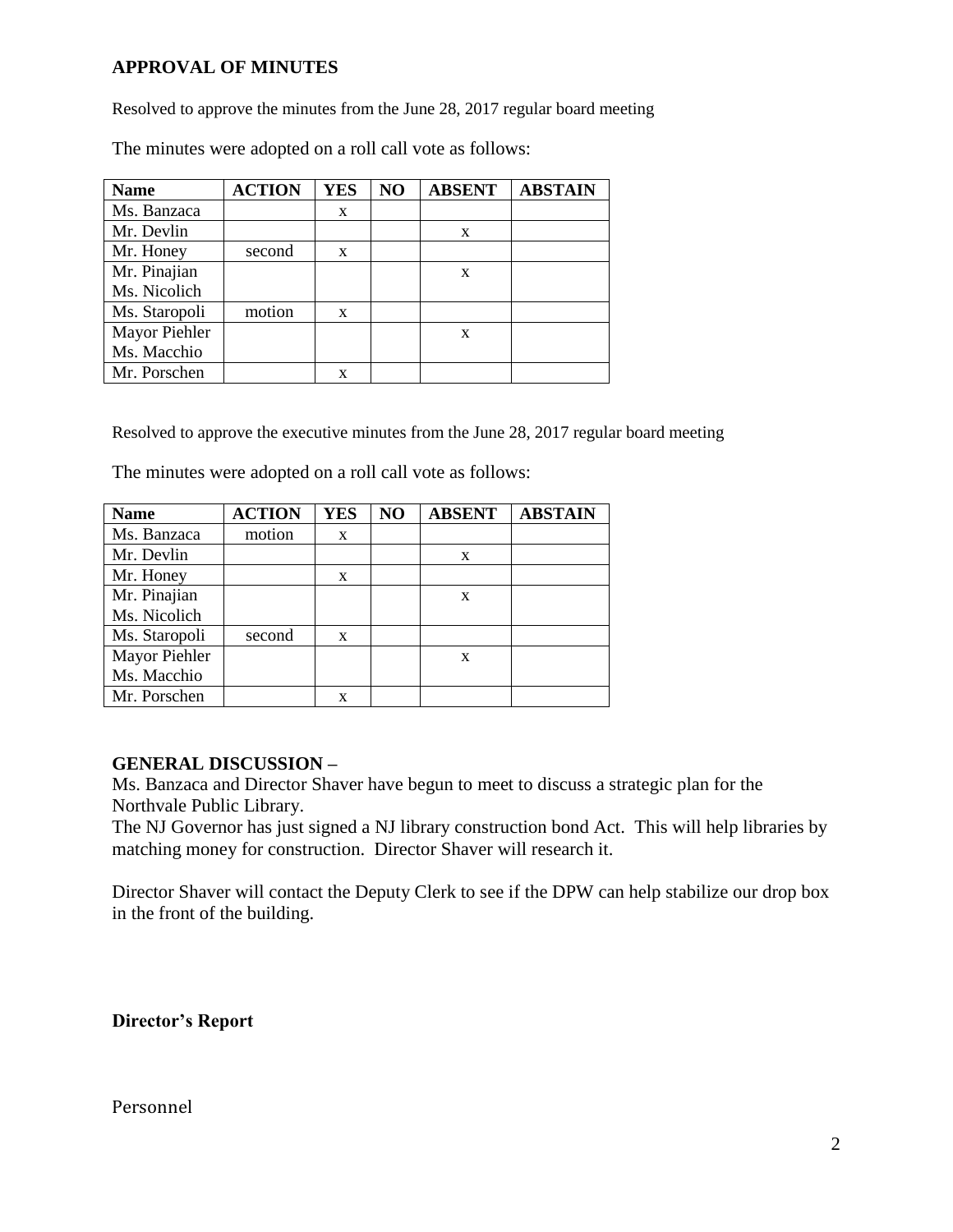## **APPROVAL OF MINUTES**

Resolved to approve the minutes from the June 28, 2017 regular board meeting

The minutes were adopted on a roll call vote as follows:

| <b>Name</b>   | <b>ACTION</b> | <b>YES</b>   | NO | <b>ABSENT</b> | <b>ABSTAIN</b> |
|---------------|---------------|--------------|----|---------------|----------------|
| Ms. Banzaca   |               | X            |    |               |                |
| Mr. Devlin    |               |              |    | X             |                |
| Mr. Honey     | second        | $\mathbf{x}$ |    |               |                |
| Mr. Pinajian  |               |              |    | X             |                |
| Ms. Nicolich  |               |              |    |               |                |
| Ms. Staropoli | motion        | X            |    |               |                |
| Mayor Piehler |               |              |    | X             |                |
| Ms. Macchio   |               |              |    |               |                |
| Mr. Porschen  |               | X            |    |               |                |

Resolved to approve the executive minutes from the June 28, 2017 regular board meeting

The minutes were adopted on a roll call vote as follows:

| <b>Name</b>   | <b>ACTION</b> | <b>YES</b> | N <sub>O</sub> | <b>ABSENT</b> | <b>ABSTAIN</b> |
|---------------|---------------|------------|----------------|---------------|----------------|
| Ms. Banzaca   | motion        | X          |                |               |                |
| Mr. Devlin    |               |            |                | X             |                |
| Mr. Honey     |               | X          |                |               |                |
| Mr. Pinajian  |               |            |                | X             |                |
| Ms. Nicolich  |               |            |                |               |                |
| Ms. Staropoli | second        | X          |                |               |                |
| Mayor Piehler |               |            |                | X             |                |
| Ms. Macchio   |               |            |                |               |                |
| Mr. Porschen  |               | x          |                |               |                |

#### **GENERAL DISCUSSION –**

Ms. Banzaca and Director Shaver have begun to meet to discuss a strategic plan for the Northvale Public Library.

The NJ Governor has just signed a NJ library construction bond Act. This will help libraries by matching money for construction. Director Shaver will research it.

Director Shaver will contact the Deputy Clerk to see if the DPW can help stabilize our drop box in the front of the building.

**Director's Report**

#### Personnel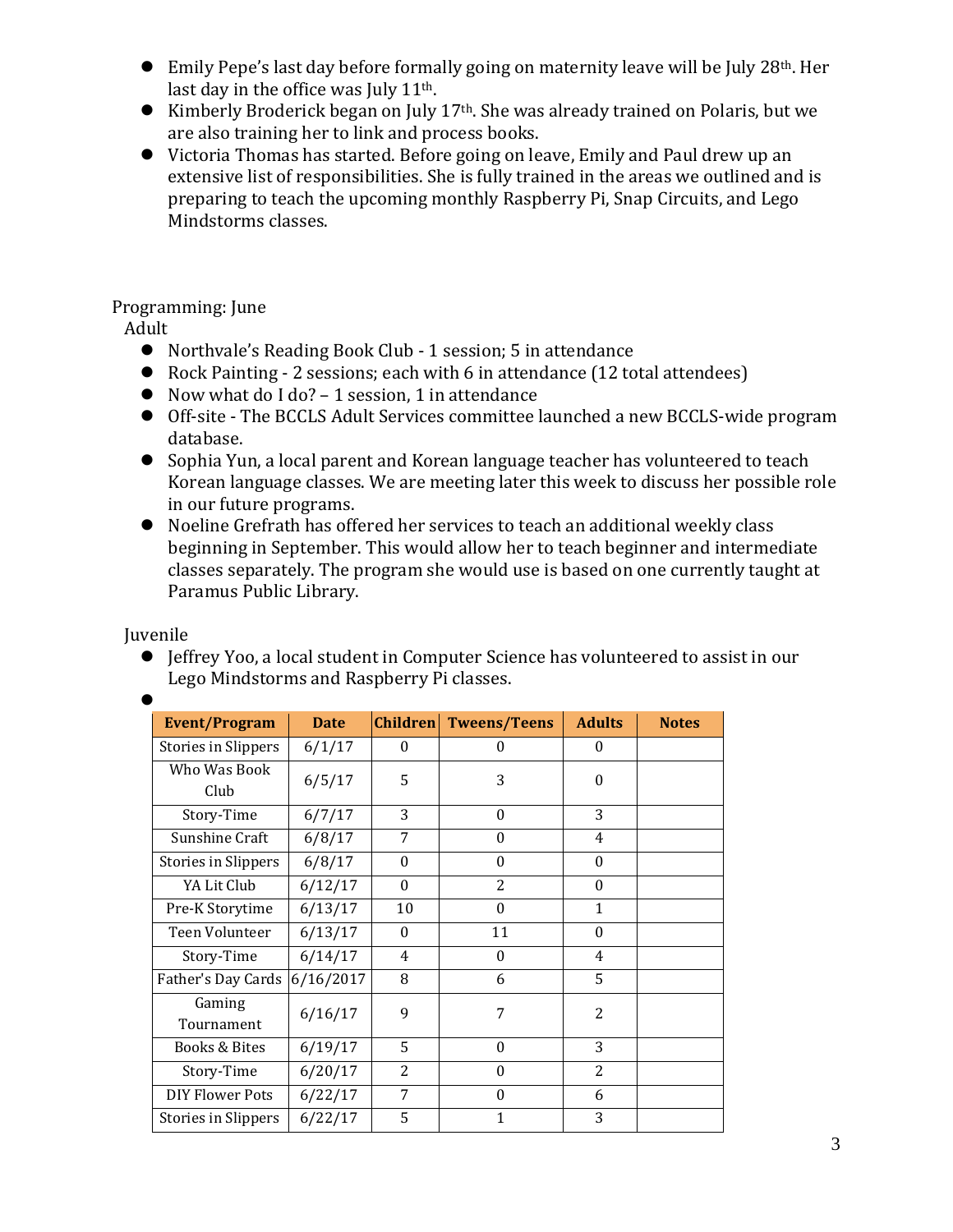- Emily Pepe's last day before formally going on maternity leave will be July 28th. Her last day in the office was July  $11<sup>th</sup>$ .
- Kimberly Broderick began on July  $17<sup>th</sup>$ . She was already trained on Polaris, but we are also training her to link and process books.
- Victoria Thomas has started. Before going on leave, Emily and Paul drew up an extensive list of responsibilities. She is fully trained in the areas we outlined and is preparing to teach the upcoming monthly Raspberry Pi, Snap Circuits, and Lego Mindstorms classes.

# Programming: June

Adult

- Northvale's Reading Book Club 1 session; 5 in attendance
- Rock Painting 2 sessions; each with 6 in attendance (12 total attendees)
- Now what do I do? 1 session, 1 in attendance
- Off-site The BCCLS Adult Services committee launched a new BCCLS-wide program database.
- Sophia Yun, a local parent and Korean language teacher has volunteered to teach Korean language classes. We are meeting later this week to discuss her possible role in our future programs.
- Noeline Grefrath has offered her services to teach an additional weekly class beginning in September. This would allow her to teach beginner and intermediate classes separately. The program she would use is based on one currently taught at Paramus Public Library.

Juvenile

 Jeffrey Yoo, a local student in Computer Science has volunteered to assist in our Lego Mindstorms and Raspberry Pi classes.

| <b>Event/Program</b> | <b>Date</b> | <b>Children</b> | <b>Tweens/Teens</b> | <b>Adults</b>  | <b>Notes</b> |
|----------------------|-------------|-----------------|---------------------|----------------|--------------|
| Stories in Slippers  | 6/1/17      | $\Omega$        | 0                   | 0              |              |
| Who Was Book<br>Club | 6/5/17      | 5               | 3                   | $\Omega$       |              |
| Story-Time           | 6/7/17      | 3               | $\Omega$            | 3              |              |
| Sunshine Craft       | 6/8/17      | 7               | $\theta$            | $\overline{4}$ |              |
| Stories in Slippers  | 6/8/17      | $\Omega$        | $\theta$            | $\Omega$       |              |
| YA Lit Club          | 6/12/17     | $\Omega$        | $\overline{c}$      | $\Omega$       |              |
| Pre-K Storytime      | 6/13/17     | 10              | $\theta$            | 1              |              |
| Teen Volunteer       | 6/13/17     | $\Omega$        | 11                  | $\Omega$       |              |
| Story-Time           | 6/14/17     | 4               | $\theta$            | 4              |              |
| Father's Day Cards   | 6/16/2017   | 8               | 6                   | 5              |              |
| Gaming<br>Tournament | 6/16/17     | 9               | 7                   | $\overline{c}$ |              |
| Books & Bites        | 6/19/17     | 5               | $\theta$            | 3              |              |
| Story-Time           | 6/20/17     | $\overline{2}$  | $\theta$            | $\overline{2}$ |              |
| DIY Flower Pots      | 6/22/17     | 7               | $\theta$            | 6              |              |
| Stories in Slippers  | 6/22/17     | 5               | 1                   | 3              |              |

 $\bullet$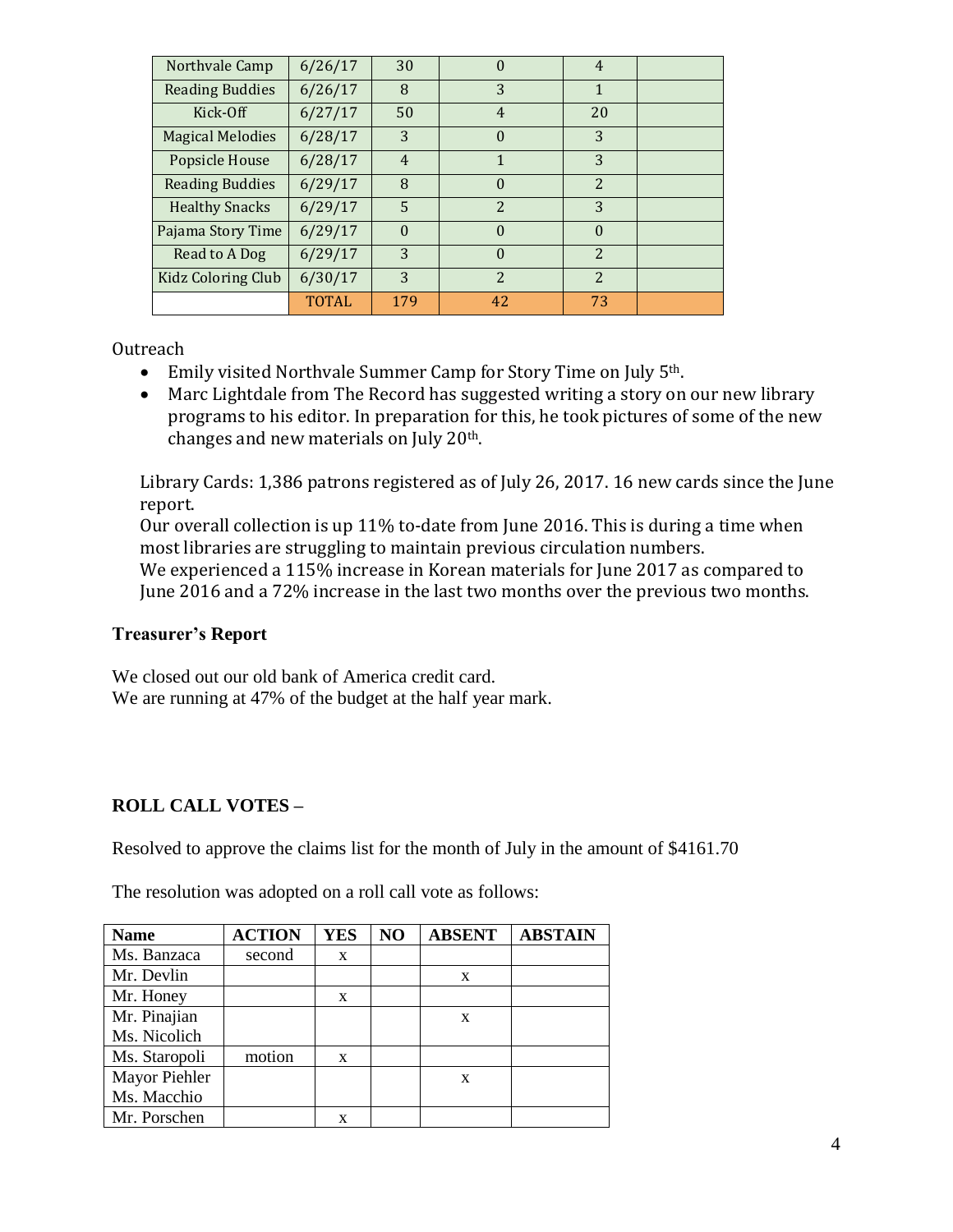| Northvale Camp            | 6/26/17      | 30             |                          | $\overline{4}$           |  |
|---------------------------|--------------|----------------|--------------------------|--------------------------|--|
| <b>Reading Buddies</b>    | 6/26/17      | 8              | 3                        | 1                        |  |
| Kick-Off                  | 6/27/17      | 50             | 4                        | 20                       |  |
| <b>Magical Melodies</b>   | 6/28/17      | 3              | $\Omega$                 | 3                        |  |
| Popsicle House            | 6/28/17      | $\overline{4}$ |                          | 3                        |  |
| <b>Reading Buddies</b>    | 6/29/17      | 8              | $\Omega$                 | $\overline{2}$           |  |
| <b>Healthy Snacks</b>     | 6/29/17      | 5              | $\overline{2}$           | 3                        |  |
| Pajama Story Time         | 6/29/17      | $\Omega$       | $\Omega$                 | $\theta$                 |  |
| Read to A Dog             | 6/29/17      | 3              | $\Omega$                 | $\overline{2}$           |  |
| <b>Kidz Coloring Club</b> | 6/30/17      | 3              | $\overline{\mathcal{L}}$ | $\overline{\mathcal{L}}$ |  |
|                           | <b>TOTAL</b> | 179            | 42                       | 73                       |  |

**Outreach** 

- Emily visited Northvale Summer Camp for Story Time on July 5<sup>th</sup>.
- Marc Lightdale from The Record has suggested writing a story on our new library programs to his editor. In preparation for this, he took pictures of some of the new changes and new materials on July 20th.

Library Cards: 1,386 patrons registered as of July 26, 2017. 16 new cards since the June report.

Our overall collection is up 11% to-date from June 2016. This is during a time when most libraries are struggling to maintain previous circulation numbers.

We experienced a 115% increase in Korean materials for June 2017 as compared to June 2016 and a 72% increase in the last two months over the previous two months.

## **Treasurer's Report**

We closed out our old bank of America credit card. We are running at 47% of the budget at the half year mark.

# **ROLL CALL VOTES –**

Resolved to approve the claims list for the month of July in the amount of \$4161.70

The resolution was adopted on a roll call vote as follows:

| <b>Name</b>   | <b>ACTION</b> | <b>YES</b> | NO | <b>ABSENT</b> | <b>ABSTAIN</b> |
|---------------|---------------|------------|----|---------------|----------------|
| Ms. Banzaca   | second        | X          |    |               |                |
| Mr. Devlin    |               |            |    | X             |                |
| Mr. Honey     |               | X          |    |               |                |
| Mr. Pinajian  |               |            |    | X             |                |
| Ms. Nicolich  |               |            |    |               |                |
| Ms. Staropoli | motion        | X          |    |               |                |
| Mayor Piehler |               |            |    | X             |                |
| Ms. Macchio   |               |            |    |               |                |
| Mr. Porschen  |               | X          |    |               |                |